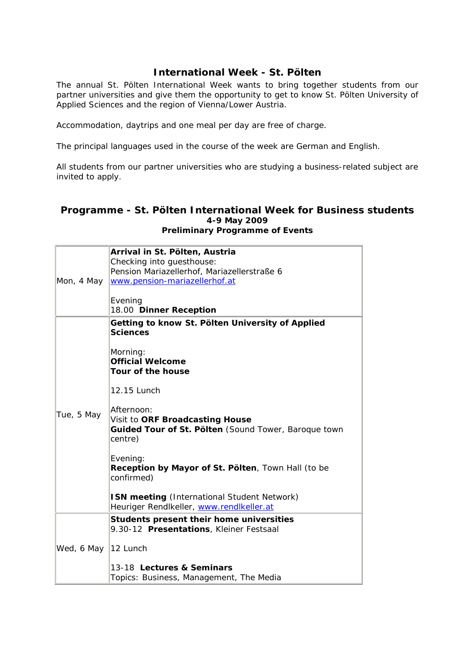## **International Week - St. Pölten**

The annual St. Pölten International Week wants to bring together students from our partner universities and give them the opportunity to get to know St. Pölten University of Applied Sciences and the region of Vienna/Lower Austria.

Accommodation, daytrips and one meal per day are free of charge.

The principal languages used in the course of the week are German and English.

All students from our partner universities who are studying a business-related subject are invited to apply.

## **Programme - St. Pölten International Week for Business students 4-9 May 2009 Preliminary Programme of Events**

| Mon, 4 May          | Arrival in St. Pölten, Austria<br>Checking into guesthouse:<br>Pension Mariazellerhof, Mariazellerstraße 6<br>www.pension-mariazellerhof.at<br>Evening<br>18.00 Dinner Reception                                                                                                                                                                                                                                                              |
|---------------------|-----------------------------------------------------------------------------------------------------------------------------------------------------------------------------------------------------------------------------------------------------------------------------------------------------------------------------------------------------------------------------------------------------------------------------------------------|
| Tue, 5 May          | Getting to know St. Pölten University of Applied<br><b>Sciences</b><br>Morning:<br><b>Official Welcome</b><br>Tour of the house<br>12.15 Lunch<br>Afternoon:<br>Visit to ORF Broadcasting House<br>Guided Tour of St. Pölten (Sound Tower, Baroque town<br>centre)<br>Evening:<br>Reception by Mayor of St. Pölten, Town Hall (to be<br>confirmed)<br>ISN meeting (International Student Network)<br>Heuriger Rendlkeller, www.rendlkeller.at |
| Wed, 6 May 12 Lunch | Students present their home universities<br>9.30-12 Presentations, Kleiner Festsaal<br>13-18 Lectures & Seminars<br>Topics: Business, Management, The Media                                                                                                                                                                                                                                                                                   |